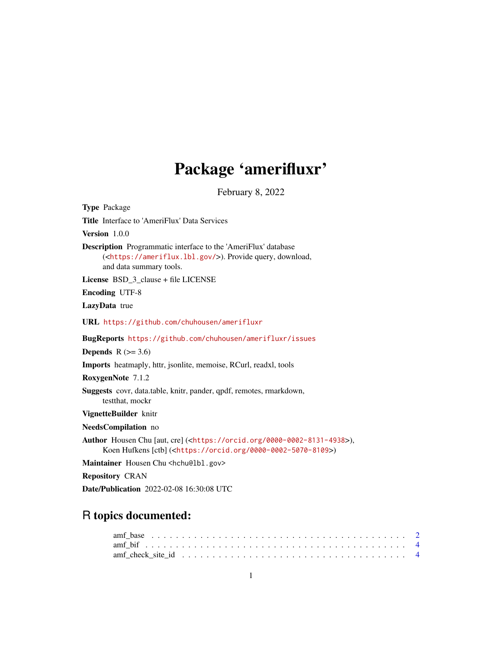## Package 'amerifluxr'

February 8, 2022

<span id="page-0-0"></span>

| <b>Type Package</b>                                                                                                                                                      |
|--------------------------------------------------------------------------------------------------------------------------------------------------------------------------|
| Title Interface to 'AmeriFlux' Data Services                                                                                                                             |
| <b>Version</b> $1.0.0$                                                                                                                                                   |
| <b>Description</b> Programmatic interface to the 'AmeriFlux' database<br>( <https: ameriflux.lbl.gov=""></https:> ). Provide query, download,<br>and data summary tools. |
| <b>License</b> BSD_3_clause + file LICENSE                                                                                                                               |
| <b>Encoding UTF-8</b>                                                                                                                                                    |
| LazyData true                                                                                                                                                            |
| URL https://github.com/chuhousen/amerifluxr                                                                                                                              |
| <b>BugReports</b> https://github.com/chuhousen/amerifluxr/issues                                                                                                         |
| <b>Depends</b> $R (=3.6)$                                                                                                                                                |
| <b>Imports</b> heatmaply, httr, jsonlite, memoise, RCurl, readxl, tools                                                                                                  |
| RoxygenNote 7.1.2                                                                                                                                                        |
| Suggests covr, data.table, knitr, pander, qpdf, remotes, rmarkdown,<br>testthat, mockr                                                                                   |
| VignetteBuilder knitr                                                                                                                                                    |
| NeedsCompilation no                                                                                                                                                      |
| Author Housen Chu [aut, cre] ( <https: 0000-0002-8131-4938="" orcid.org="">),<br/>Koen Hufkens [ctb] (<https: 0000-0002-5070-8109="" orcid.org="">)</https:></https:>    |
| Maintainer Housen Chu <hchu@lbl.gov></hchu@lbl.gov>                                                                                                                      |
| <b>Repository CRAN</b>                                                                                                                                                   |

Date/Publication 2022-02-08 16:30:08 UTC

### R topics documented:

| amf check site id $\ldots \ldots \ldots \ldots \ldots \ldots \ldots \ldots \ldots \ldots \ldots \ldots \ldots$ |  |  |  |  |  |  |  |  |  |  |  |  |  |  |  |  |  |  |
|----------------------------------------------------------------------------------------------------------------|--|--|--|--|--|--|--|--|--|--|--|--|--|--|--|--|--|--|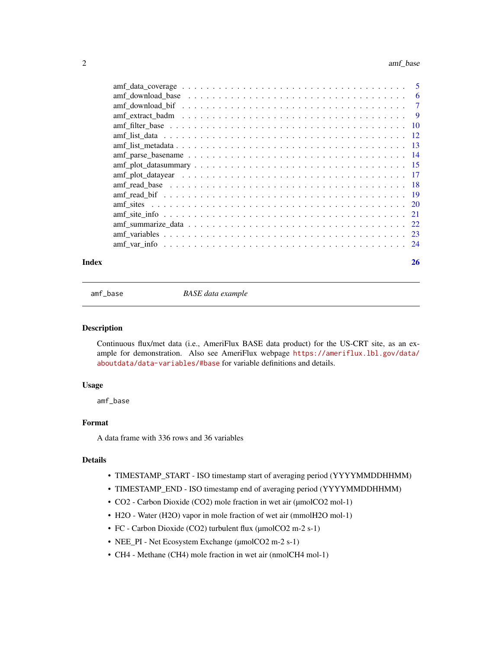<span id="page-1-0"></span>

| $amf_{ext}$ and $maf_{ext}$ and $maf_{ext}$ and $maf_{ext}$ and $maf_{ext}$ and $maf_{ext}$ and $maf_{ext}$ and $maf_{ext}$ and $maf_{ext}$ and $maf_{ext}$ and $maf_{ext}$ and $maf_{ext}$ and $maf_{ext}$ and $maf_{ext}$ and $maf_{ext}$ and $maf_{ext}$ and $naf_{ext}$ and $naf_{ext}$ and $naf_{ext$ |    |
|------------------------------------------------------------------------------------------------------------------------------------------------------------------------------------------------------------------------------------------------------------------------------------------------------------|----|
|                                                                                                                                                                                                                                                                                                            |    |
|                                                                                                                                                                                                                                                                                                            |    |
|                                                                                                                                                                                                                                                                                                            |    |
|                                                                                                                                                                                                                                                                                                            |    |
|                                                                                                                                                                                                                                                                                                            |    |
|                                                                                                                                                                                                                                                                                                            |    |
|                                                                                                                                                                                                                                                                                                            |    |
|                                                                                                                                                                                                                                                                                                            |    |
|                                                                                                                                                                                                                                                                                                            |    |
|                                                                                                                                                                                                                                                                                                            |    |
|                                                                                                                                                                                                                                                                                                            |    |
|                                                                                                                                                                                                                                                                                                            |    |
|                                                                                                                                                                                                                                                                                                            |    |
| Index                                                                                                                                                                                                                                                                                                      | 26 |

amf\_base *BASE data example*

#### Description

Continuous flux/met data (i.e., AmeriFlux BASE data product) for the US-CRT site, as an example for demonstration. Also see AmeriFlux webpage [https://ameriflux.lbl.gov/data/](https://ameriflux.lbl.gov/data/aboutdata/data-variables/#base) [aboutdata/data-variables/#base](https://ameriflux.lbl.gov/data/aboutdata/data-variables/#base) for variable definitions and details.

#### Usage

amf\_base

#### Format

A data frame with 336 rows and 36 variables

#### Details

- TIMESTAMP\_START ISO timestamp start of averaging period (YYYYMMDDHHMM)
- TIMESTAMP\_END ISO timestamp end of averaging period (YYYYMMDDHHMM)
- CO2 Carbon Dioxide (CO2) mole fraction in wet air (µmolCO2 mol-1)
- H2O Water (H2O) vapor in mole fraction of wet air (mmolH2O mol-1)
- FC Carbon Dioxide (CO2) turbulent flux (µmolCO2 m-2 s-1)
- NEE\_PI Net Ecosystem Exchange (µmolCO2 m-2 s-1)
- CH4 Methane (CH4) mole fraction in wet air (nmolCH4 mol-1)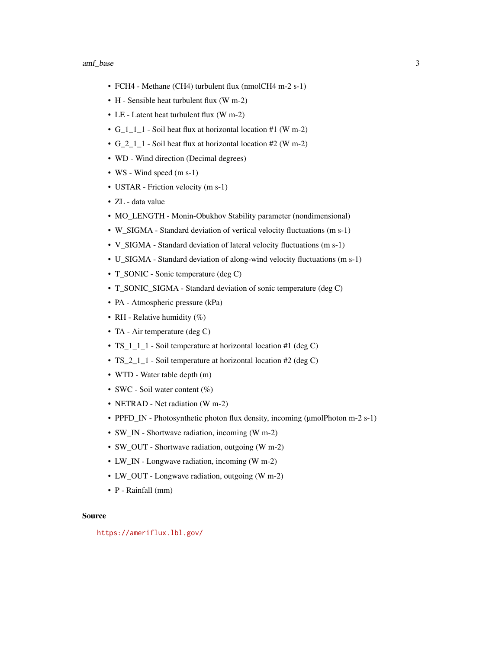- FCH4 Methane (CH4) turbulent flux (nmolCH4 m-2 s-1)
- H Sensible heat turbulent flux (W m-2)
- LE Latent heat turbulent flux (W m-2)
- G\_1\_1\_1 Soil heat flux at horizontal location #1 (W m-2)
- G\_2\_1\_1 Soil heat flux at horizontal location #2 (W m-2)
- WD Wind direction (Decimal degrees)
- WS Wind speed (m s-1)
- USTAR Friction velocity (m s-1)
- ZL data value
- MO\_LENGTH Monin-Obukhov Stability parameter (nondimensional)
- W\_SIGMA Standard deviation of vertical velocity fluctuations (m s-1)
- V\_SIGMA Standard deviation of lateral velocity fluctuations (m s-1)
- U\_SIGMA Standard deviation of along-wind velocity fluctuations (m s-1)
- T\_SONIC Sonic temperature (deg C)
- T\_SONIC\_SIGMA Standard deviation of sonic temperature (deg C)
- PA Atmospheric pressure (kPa)
- RH Relative humidity  $(\%)$
- TA Air temperature (deg C)
- TS\_1\_1\_1 Soil temperature at horizontal location #1 (deg C)
- TS\_2\_1\_1 Soil temperature at horizontal location #2 (deg C)
- WTD Water table depth (m)
- SWC Soil water content (%)
- NETRAD Net radiation (W m-2)
- PPFD\_IN Photosynthetic photon flux density, incoming (µmolPhoton m-2 s-1)
- SW\_IN Shortwave radiation, incoming (W m-2)
- SW\_OUT Shortwave radiation, outgoing (W m-2)
- LW\_IN Longwave radiation, incoming (W m-2)
- LW\_OUT Longwave radiation, outgoing (W m-2)
- P Rainfall (mm)

#### Source

<https://ameriflux.lbl.gov/>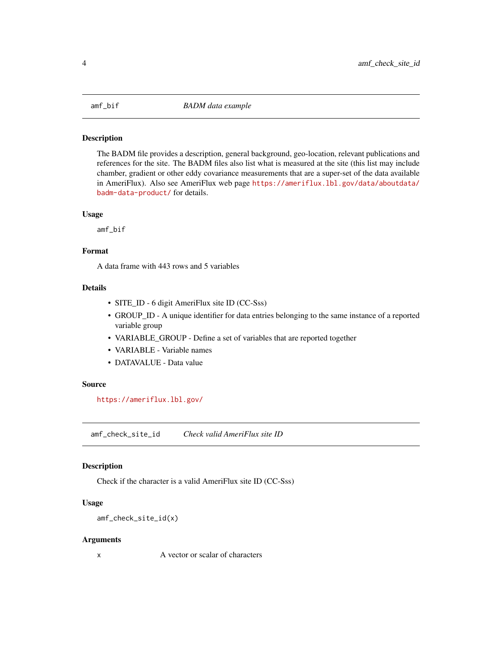<span id="page-3-0"></span>

#### Description

The BADM file provides a description, general background, geo-location, relevant publications and references for the site. The BADM files also list what is measured at the site (this list may include chamber, gradient or other eddy covariance measurements that are a super-set of the data available in AmeriFlux). Also see AmeriFlux web page [https://ameriflux.lbl.gov/data/aboutdata/](https://ameriflux.lbl.gov/data/aboutdata/badm-data-product/) [badm-data-product/](https://ameriflux.lbl.gov/data/aboutdata/badm-data-product/) for details.

#### Usage

amf\_bif

#### Format

A data frame with 443 rows and 5 variables

#### Details

- SITE\_ID 6 digit AmeriFlux site ID (CC-Sss)
- GROUP\_ID A unique identifier for data entries belonging to the same instance of a reported variable group
- VARIABLE\_GROUP Define a set of variables that are reported together
- VARIABLE Variable names
- DATAVALUE Data value

#### Source

<https://ameriflux.lbl.gov/>

amf\_check\_site\_id *Check valid AmeriFlux site ID*

#### Description

Check if the character is a valid AmeriFlux site ID (CC-Sss)

#### Usage

```
amf_check_site_id(x)
```
#### Arguments

x A vector or scalar of characters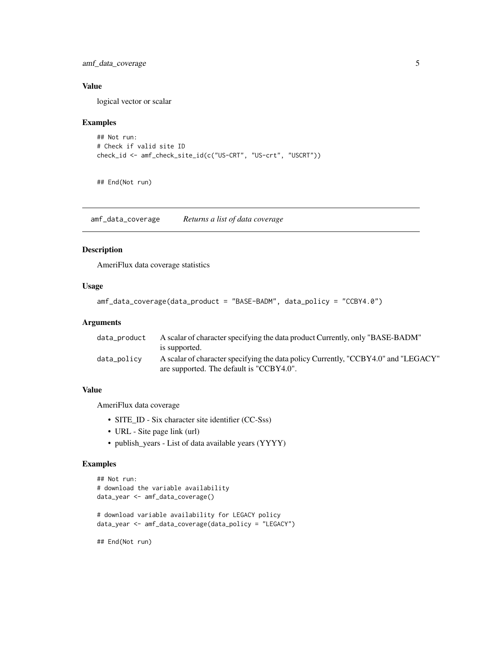<span id="page-4-0"></span>amf\_data\_coverage 5

#### Value

logical vector or scalar

#### Examples

```
## Not run:
# Check if valid site ID
check_id <- amf_check_site_id(c("US-CRT", "US-crt", "USCRT"))
```
## End(Not run)

amf\_data\_coverage *Returns a list of data coverage*

#### Description

AmeriFlux data coverage statistics

#### Usage

```
amf_data_coverage(data_product = "BASE-BADM", data_policy = "CCBY4.0")
```
#### Arguments

| data_product | A scalar of character specifying the data product Currently, only "BASE-BADM"      |
|--------------|------------------------------------------------------------------------------------|
|              | is supported.                                                                      |
| data_policy  | A scalar of character specifying the data policy Currently, "CCBY4.0" and "LEGACY" |
|              | are supported. The default is "CCBY4.0".                                           |

#### Value

AmeriFlux data coverage

- SITE\_ID Six character site identifier (CC-Sss)
- URL Site page link (url)
- publish\_years List of data available years (YYYY)

#### Examples

```
## Not run:
# download the variable availability
data_year <- amf_data_coverage()
# download variable availability for LEGACY policy
data_year <- amf_data_coverage(data_policy = "LEGACY")
```
## End(Not run)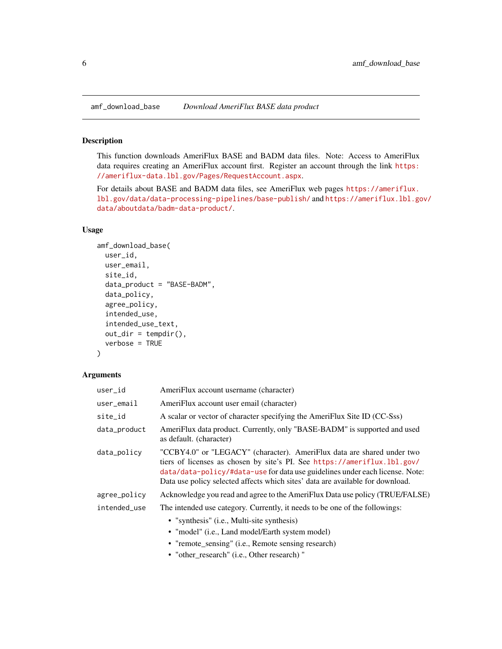#### Description

This function downloads AmeriFlux BASE and BADM data files. Note: Access to AmeriFlux data requires creating an AmeriFlux account first. Register an account through the link [https:](https://ameriflux-data.lbl.gov/Pages/RequestAccount.aspx) [//ameriflux-data.lbl.gov/Pages/RequestAccount.aspx](https://ameriflux-data.lbl.gov/Pages/RequestAccount.aspx).

For details about BASE and BADM data files, see AmeriFlux web pages [https://ameriflux.](https://ameriflux.lbl.gov/data/data-processing-pipelines/base-publish/) [lbl.gov/data/data-processing-pipelines/base-publish/](https://ameriflux.lbl.gov/data/data-processing-pipelines/base-publish/) and [https://ameriflux.lbl.go](https://ameriflux.lbl.gov/data/aboutdata/badm-data-product/)v/ [data/aboutdata/badm-data-product/](https://ameriflux.lbl.gov/data/aboutdata/badm-data-product/).

#### Usage

```
amf_download_base(
  user_id,
 user_email,
  site_id,
  data_product = "BASE-BADM",
  data_policy,
  agree_policy,
  intended_use,
  intended_use_text,
  out\_dir = tempdir(),verbose = TRUE
\lambda
```
#### Arguments

| user_id      | AmeriFlux account username (character)                                                                                                                                                                                                                                                                               |
|--------------|----------------------------------------------------------------------------------------------------------------------------------------------------------------------------------------------------------------------------------------------------------------------------------------------------------------------|
| user_email   | AmeriFlux account user email (character)                                                                                                                                                                                                                                                                             |
| site id      | A scalar or vector of character specifying the AmeriFlux Site ID (CC-Sss)                                                                                                                                                                                                                                            |
| data_product | AmeriFlux data product. Currently, only "BASE-BADM" is supported and used<br>as default. (character)                                                                                                                                                                                                                 |
| data_policy  | "CCBY4.0" or "LEGACY" (character). AmeriFlux data are shared under two<br>tiers of licenses as chosen by site's PI. See https://ameriflux.lbl.gov/<br>data/data-policy/#data-use for data use guidelines under each license. Note:<br>Data use policy selected affects which sites' data are available for download. |
| agree_policy | Acknowledge you read and agree to the AmeriFlux Data use policy (TRUE/FALSE)                                                                                                                                                                                                                                         |
| intended_use | The intended use category. Currently, it needs to be one of the followings:                                                                                                                                                                                                                                          |
|              | • "synthesis" (i.e., Multi-site synthesis)                                                                                                                                                                                                                                                                           |
|              | • "model" (i.e., Land model/Earth system model)                                                                                                                                                                                                                                                                      |
|              | • "remote_sensing" (i.e., Remote sensing research)                                                                                                                                                                                                                                                                   |
|              |                                                                                                                                                                                                                                                                                                                      |

• "other\_research" (i.e., Other research) "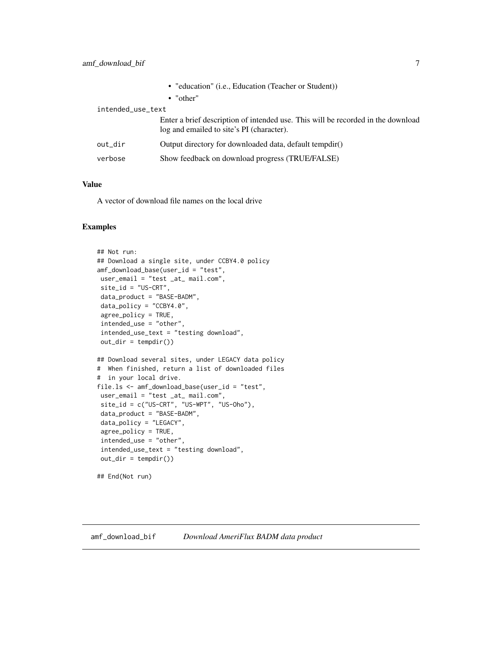<span id="page-6-0"></span>

|                   |         | • "education" (i.e., Education (Teacher or Student))                                                                          |  |  |  |  |  |
|-------------------|---------|-------------------------------------------------------------------------------------------------------------------------------|--|--|--|--|--|
|                   |         | $\bullet$ "other"                                                                                                             |  |  |  |  |  |
| intended_use_text |         |                                                                                                                               |  |  |  |  |  |
|                   |         | Enter a brief description of intended use. This will be recorded in the download<br>log and emailed to site's PI (character). |  |  |  |  |  |
|                   | out dir | Output directory for downloaded data, default tempdir()                                                                       |  |  |  |  |  |
|                   | verbose | Show feedback on download progress (TRUE/FALSE)                                                                               |  |  |  |  |  |
|                   |         |                                                                                                                               |  |  |  |  |  |

#### Value

A vector of download file names on the local drive

#### Examples

```
## Not run:
## Download a single site, under CCBY4.0 policy
amf_download_base(user_id = "test",
user_email = "test _at_ mail.com",
site_id = "US-CRT",data_product = "BASE-BADM",
data_policy = "CCBY4.0",
agree_policy = TRUE,
intended_use = "other",
intended_use_text = "testing download",
out\_dir = tempdir()## Download several sites, under LEGACY data policy
# When finished, return a list of downloaded files
# in your local drive.
file.ls <- amf_download_base(user_id = "test",
user_email = "test _at_ mail.com",
site_id = c("US-CRT", "US-WPT", "US-Oho"),data_product = "BASE-BADM",
data_policy = "LEGACY",
agree_policy = TRUE,
intended_use = "other",
intended_use_text = "testing download",
out\_dir = tempdir()
```

```
## End(Not run)
```
amf\_download\_bif *Download AmeriFlux BADM data product*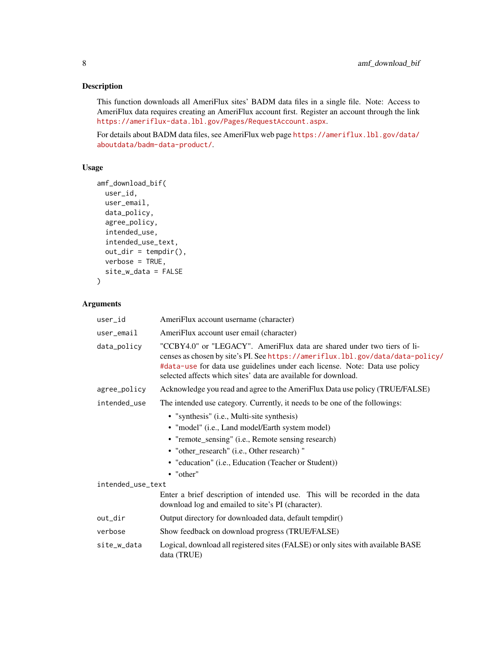#### Description

This function downloads all AmeriFlux sites' BADM data files in a single file. Note: Access to AmeriFlux data requires creating an AmeriFlux account first. Register an account through the link <https://ameriflux-data.lbl.gov/Pages/RequestAccount.aspx>.

For details about BADM data files, see AmeriFlux web page [https://ameriflux.lbl.gov/data/](https://ameriflux.lbl.gov/data/aboutdata/badm-data-product/) [aboutdata/badm-data-product/](https://ameriflux.lbl.gov/data/aboutdata/badm-data-product/).

#### Usage

```
amf_download_bif(
 user_id,
 user_email,
 data_policy,
 agree_policy,
  intended_use,
  intended_use_text,
 out\_dir = tempdir(),verbose = TRUE,
  site_w_data = FALSE
)
```
#### Arguments

| user_id           | AmeriFlux account username (character)                                                                                                                                                                                                                                                                     |
|-------------------|------------------------------------------------------------------------------------------------------------------------------------------------------------------------------------------------------------------------------------------------------------------------------------------------------------|
| user_email        | AmeriFlux account user email (character)                                                                                                                                                                                                                                                                   |
| data_policy       | "CCBY4.0" or "LEGACY". AmeriFlux data are shared under two tiers of li-<br>censes as chosen by site's PI. See https://ameriflux.lbl.gov/data/data-policy/<br>#data-use for data use guidelines under each license. Note: Data use policy<br>selected affects which sites' data are available for download. |
| agree_policy      | Acknowledge you read and agree to the AmeriFlux Data use policy (TRUE/FALSE)                                                                                                                                                                                                                               |
| intended_use      | The intended use category. Currently, it needs to be one of the followings:                                                                                                                                                                                                                                |
|                   | • "synthesis" (i.e., Multi-site synthesis)                                                                                                                                                                                                                                                                 |
|                   | • "model" (i.e., Land model/Earth system model)                                                                                                                                                                                                                                                            |
|                   | • "remote_sensing" (i.e., Remote sensing research)                                                                                                                                                                                                                                                         |
|                   | • "other_research" (i.e., Other research) "                                                                                                                                                                                                                                                                |
|                   | • "education" (i.e., Education (Teacher or Student))                                                                                                                                                                                                                                                       |
|                   | • "other"                                                                                                                                                                                                                                                                                                  |
| intended_use_text |                                                                                                                                                                                                                                                                                                            |
|                   | Enter a brief description of intended use. This will be recorded in the data<br>download log and emailed to site's PI (character).                                                                                                                                                                         |
| out_dir           | Output directory for downloaded data, default tempdir()                                                                                                                                                                                                                                                    |
| verbose           | Show feedback on download progress (TRUE/FALSE)                                                                                                                                                                                                                                                            |
| site_w_data       | Logical, download all registered sites (FALSE) or only sites with available BASE<br>data (TRUE)                                                                                                                                                                                                            |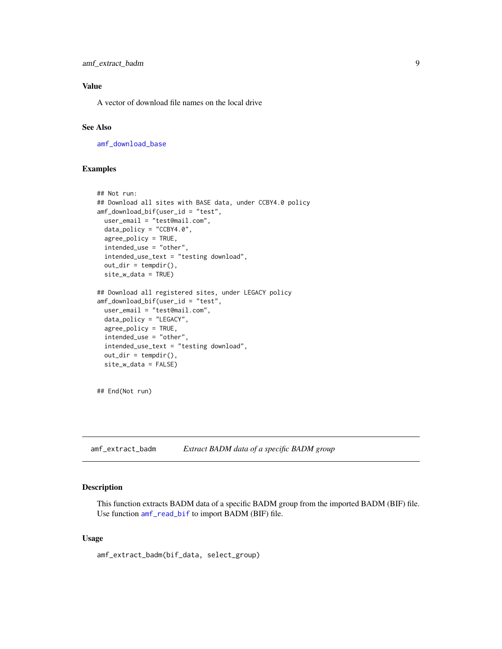<span id="page-8-0"></span>amf\_extract\_badm 9

#### Value

A vector of download file names on the local drive

#### See Also

[amf\\_download\\_base](#page-5-1)

#### Examples

```
## Not run:
## Download all sites with BASE data, under CCBY4.0 policy
amf_download_bif(user_id = "test",
 user_email = "test@mail.com",
 data_policy = "CCBY4.0",
 agree_policy = TRUE,
 intended_use = "other",
 intended_use_text = "testing download",
 out\_dir = tempdir(),site_w_data = TRUE)
## Download all registered sites, under LEGACY policy
amf_download_bif(user_id = "test",
 user_email = "test@mail.com",
 data_policy = "LEGACY",
 agree_policy = TRUE,
 intended_use = "other",
 intended_use_text = "testing download",
 out\_dir = tempdir(),site_w_data = FALSE)
```
## End(Not run)

amf\_extract\_badm *Extract BADM data of a specific BADM group*

#### Description

This function extracts BADM data of a specific BADM group from the imported BADM (BIF) file. Use function [amf\\_read\\_bif](#page-18-1) to import BADM (BIF) file.

#### Usage

amf\_extract\_badm(bif\_data, select\_group)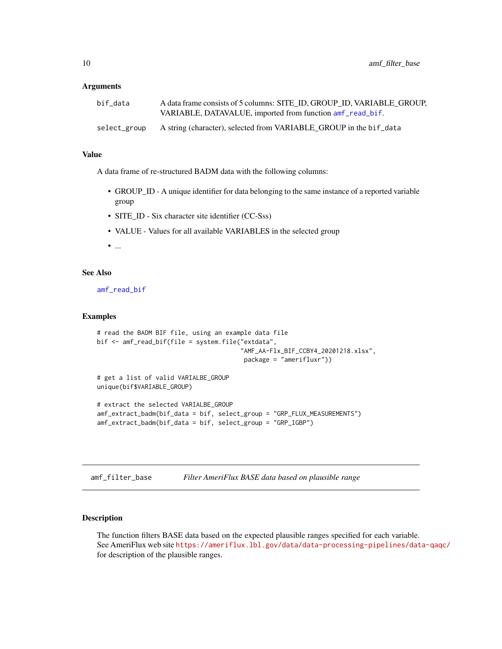#### <span id="page-9-0"></span>**Arguments**

| bif data     | A data frame consists of 5 columns: SITE ID, GROUP ID, VARIABLE GROUP, |
|--------------|------------------------------------------------------------------------|
|              | VARIABLE, DATAVALUE, imported from function amf_read_bif.              |
| select_group | A string (character), selected from VARIABLE_GROUP in the bif_data     |

#### Value

A data frame of re-structured BADM data with the following columns:

- GROUP\_ID A unique identifier for data belonging to the same instance of a reported variable group
- SITE\_ID Six character site identifier (CC-Sss)
- VALUE Values for all available VARIABLES in the selected group

• ...

#### See Also

[amf\\_read\\_bif](#page-18-1)

#### Examples

```
# read the BADM BIF file, using an example data file
bif <- amf_read_bif(file = system.file("extdata",
                                       "AMF_AA-Flx_BIF_CCBY4_20201218.xlsx",
                                        package = "amerifluxr"))
# get a list of valid VARIALBE_GROUP
unique(bif$VARIABLE_GROUP)
# extract the selected VARIALBE_GROUP
amf_extract_badm(bif_data = bif, select_group = "GRP_FLUX_MEASUREMENTS")
amf_extract_badm(bif_data = bif, select_group = "GRP_IGBP")
```
<span id="page-9-1"></span>amf\_filter\_base *Filter AmeriFlux BASE data based on plausible range*

#### Description

The function filters BASE data based on the expected plausible ranges specified for each variable. See AmeriFlux web site <https://ameriflux.lbl.gov/data/data-processing-pipelines/data-qaqc/> for description of the plausible ranges.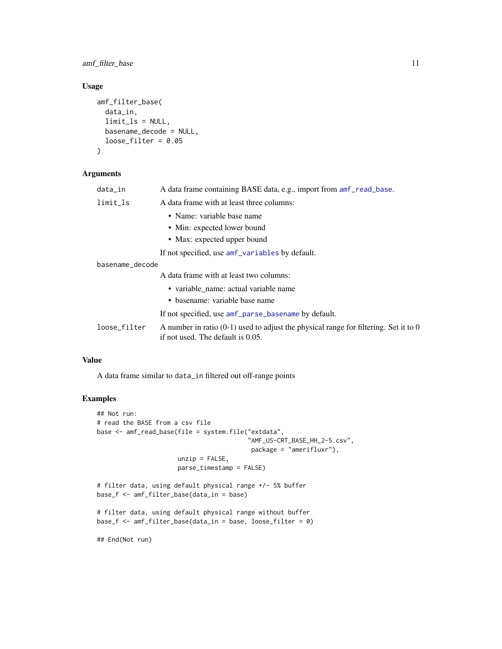<span id="page-10-0"></span>amf\_filter\_base 11

#### Usage

```
amf_filter_base(
  data_in,
  limit_ls = NULL,
 basename_decode = NULL,
  loose_filter = 0.05
)
```
#### Arguments

| data_in         | A data frame containing BASE data, e.g., import from $amf_{\text{read}}$ base.                                              |
|-----------------|-----------------------------------------------------------------------------------------------------------------------------|
| limit           | A data frame with at least three columns:                                                                                   |
|                 | • Name: variable base name                                                                                                  |
|                 | • Min: expected lower bound                                                                                                 |
|                 | • Max: expected upper bound                                                                                                 |
|                 | If not specified, use amf variables by default.                                                                             |
| basename_decode |                                                                                                                             |
|                 | A data frame with at least two columns:                                                                                     |
|                 | • variable name: actual variable name                                                                                       |
|                 | • basename: variable base name                                                                                              |
|                 | If not specified, use amf_parse_basename by default.                                                                        |
| loose_filter    | A number in ratio $(0-1)$ used to adjust the physical range for filtering. Set it to 0<br>if not used. The default is 0.05. |

#### Value

A data frame similar to data\_in filtered out off-range points

#### Examples

```
## Not run:
# read the BASE from a csv file
base <- amf_read_base(file = system.file("extdata",
                                         "AMF_US-CRT_BASE_HH_2-5.csv",
                                         package = "amerifluxr"),
                      unzip = FALSE,parse_timestamp = FALSE)
# filter data, using default physical range +/- 5% buffer
base_f <- amf_filter_base(data_in = base)
# filter data, using default physical range without buffer
base_f <- amf_filter_base(data_in = base, loose_filter = 0)
```
## End(Not run)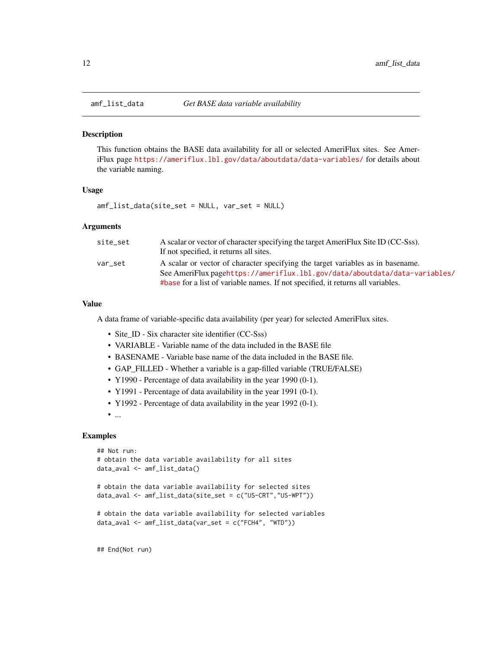<span id="page-11-1"></span><span id="page-11-0"></span>

#### Description

This function obtains the BASE data availability for all or selected AmeriFlux sites. See AmeriFlux page <https://ameriflux.lbl.gov/data/aboutdata/data-variables/> for details about the variable naming.

#### Usage

amf\_list\_data(site\_set = NULL, var\_set = NULL)

#### Arguments

| site set | A scalar or vector of character specifying the target AmeriFlux Site ID (CC-Sss). |
|----------|-----------------------------------------------------------------------------------|
|          | If not specified, it returns all sites.                                           |
| var set  | A scalar or vector of character specifying the target variables as in basename.   |
|          | See AmeriFlux pagehttps://ameriflux.lbl.gov/data/aboutdata/data-variables/        |
|          | #base for a list of variable names. If not specified, it returns all variables.   |

#### Value

A data frame of variable-specific data availability (per year) for selected AmeriFlux sites.

- Site\_ID Six character site identifier (CC-Sss)
- VARIABLE Variable name of the data included in the BASE file
- BASENAME Variable base name of the data included in the BASE file.
- GAP\_FILLED Whether a variable is a gap-filled variable (TRUE/FALSE)
- Y1990 Percentage of data availability in the year 1990 (0-1).
- Y1991 Percentage of data availability in the year 1991 (0-1).
- Y1992 Percentage of data availability in the year 1992 (0-1).
- ...

#### Examples

```
## Not run:
# obtain the data variable availability for all sites
data_aval <- amf_list_data()
# obtain the data variable availability for selected sites
data_aval <- amf_list_data(site_set = c("US-CRT","US-WPT"))
# obtain the data variable availability for selected variables
data_aval <- amf_list_data(var_set = c("FCH4", "WTD"))
```
## End(Not run)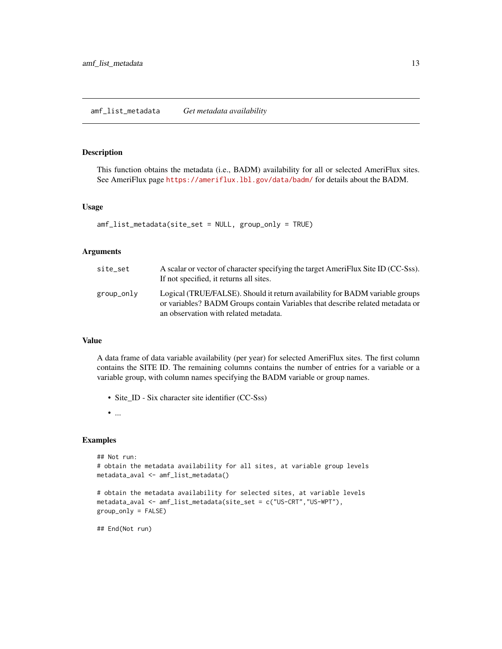#### <span id="page-12-0"></span>amf\_list\_metadata *Get metadata availability*

#### Description

This function obtains the metadata (i.e., BADM) availability for all or selected AmeriFlux sites. See AmeriFlux page <https://ameriflux.lbl.gov/data/badm/> for details about the BADM.

#### Usage

```
amf_list_metadata(site_set = NULL, group_only = TRUE)
```
#### Arguments

| site_set   | A scalar or vector of character specifying the target AmeriFlux Site ID (CC-Sss).<br>If not specified, it returns all sites.                                                                           |
|------------|--------------------------------------------------------------------------------------------------------------------------------------------------------------------------------------------------------|
| group_only | Logical (TRUE/FALSE). Should it return availability for BADM variable groups<br>or variables? BADM Groups contain Variables that describe related metadata or<br>an observation with related metadata. |

#### Value

A data frame of data variable availability (per year) for selected AmeriFlux sites. The first column contains the SITE ID. The remaining columns contains the number of entries for a variable or a variable group, with column names specifying the BADM variable or group names.

• Site\_ID - Six character site identifier (CC-Sss)

• ...

#### Examples

```
## Not run:
# obtain the metadata availability for all sites, at variable group levels
metadata_aval <- amf_list_metadata()
# obtain the metadata availability for selected sites, at variable levels
metadata_aval <- amf_list_metadata(site_set = c("US-CRT","US-WPT"),
```

```
## End(Not run)
```
group\_only = FALSE)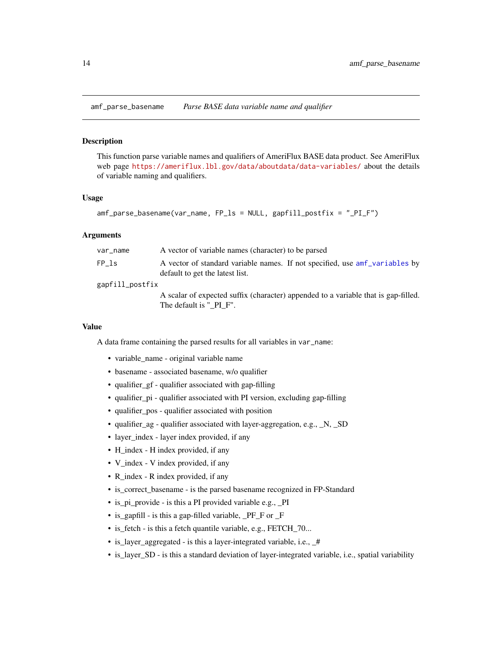<span id="page-13-1"></span><span id="page-13-0"></span>amf\_parse\_basename *Parse BASE data variable name and qualifier*

#### Description

This function parse variable names and qualifiers of AmeriFlux BASE data product. See AmeriFlux web page <https://ameriflux.lbl.gov/data/aboutdata/data-variables/> about the details of variable naming and qualifiers.

#### Usage

amf\_parse\_basename(var\_name, FP\_ls = NULL, gapfill\_postfix = "\_PI\_F")

#### Arguments

| var_name        | A vector of variable names (character) to be parsed                                                            |
|-----------------|----------------------------------------------------------------------------------------------------------------|
| FP ls           | A vector of standard variable names. If not specified, use amf variables by<br>default to get the latest list. |
| gapfill_postfix |                                                                                                                |
|                 | A scalar of expected suffix (character) appended to a variable that is gap-filled.                             |
|                 | The default is " PI F".                                                                                        |

#### Value

A data frame containing the parsed results for all variables in var\_name:

- variable\_name original variable name
- basename associated basename, w/o qualifier
- qualifier\_gf qualifier associated with gap-filling
- qualifier\_pi qualifier associated with PI version, excluding gap-filling
- qualifier pos qualifier associated with position
- qualifier\_ag qualifier associated with layer-aggregation, e.g., \_N, \_SD
- layer\_index layer index provided, if any
- H\_index H index provided, if any
- V\_index V index provided, if any
- R\_index R index provided, if any
- is\_correct\_basename is the parsed basename recognized in FP-Standard
- is\_pi\_provide is this a PI provided variable e.g., \_PI
- is\_gapfill is this a gap-filled variable, \_PF\_F or \_F
- is\_fetch is this a fetch quantile variable, e.g., FETCH\_70...
- is layer aggregated is this a layer-integrated variable, i.e.,  $#$
- is\_layer\_SD is this a standard deviation of layer-integrated variable, i.e., spatial variability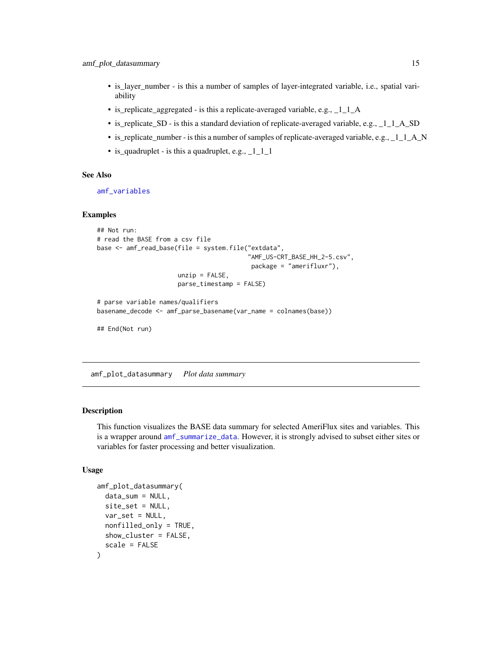- <span id="page-14-0"></span>• is\_layer\_number - is this a number of samples of layer-integrated variable, i.e., spatial variability
- is\_replicate\_aggregated is this a replicate-averaged variable, e.g., \_1\_1\_A
- is\_replicate\_SD is this a standard deviation of replicate-averaged variable, e.g., \_1\_1\_A\_SD
- is\_replicate\_number is this a number of samples of replicate-averaged variable, e.g.,  $\angle 1_1A$  N
- is\_quadruplet is this a quadruplet, e.g., \_1\_1\_1

#### See Also

[amf\\_variables](#page-22-1)

#### Examples

```
## Not run:
# read the BASE from a csv file
base <- amf_read_base(file = system.file("extdata",
                                         "AMF_US-CRT_BASE_HH_2-5.csv",
                                          package = "amerifluxr"),
                      unzip = FALSE,parse_timestamp = FALSE)
# parse variable names/qualifiers
```

```
basename_decode <- amf_parse_basename(var_name = colnames(base))
```
## End(Not run)

amf\_plot\_datasummary *Plot data summary*

#### **Description**

This function visualizes the BASE data summary for selected AmeriFlux sites and variables. This is a wrapper around [amf\\_summarize\\_data](#page-21-1). However, it is strongly advised to subset either sites or variables for faster processing and better visualization.

#### Usage

```
amf_plot_datasummary(
  data_sum = NULL,
  site_set = NULL,
 var_set = NULL,
 nonfilled_only = TRUE,
  show_cluster = FALSE,
  scale = FALSE
)
```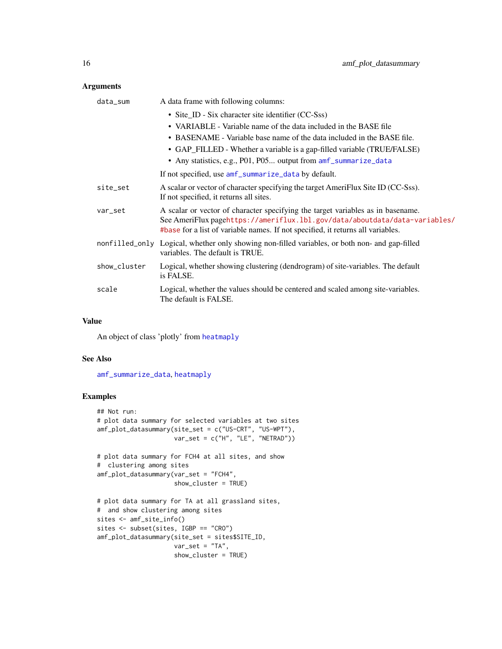#### <span id="page-15-0"></span>Arguments

| data_sum     | A data frame with following columns:                                                                                                                                                                                                             |
|--------------|--------------------------------------------------------------------------------------------------------------------------------------------------------------------------------------------------------------------------------------------------|
|              | • Site_ID - Six character site identifier (CC-Sss)                                                                                                                                                                                               |
|              | • VARIABLE - Variable name of the data included in the BASE file                                                                                                                                                                                 |
|              | • BASENAME - Variable base name of the data included in the BASE file.                                                                                                                                                                           |
|              | • GAP_FILLED - Whether a variable is a gap-filled variable (TRUE/FALSE)                                                                                                                                                                          |
|              | • Any statistics, e.g., P01, P05 output from amf_summarize_data                                                                                                                                                                                  |
|              | If not specified, use amf_summarize_data by default.                                                                                                                                                                                             |
| site_set     | A scalar or vector of character specifying the target AmeriFlux Site ID (CC-Sss).<br>If not specified, it returns all sites.                                                                                                                     |
| var_set      | A scalar or vector of character specifying the target variables as in basename.<br>See AmeriFlux pagehttps://ameriflux.lbl.gov/data/aboutdata/data-variables/<br>#base for a list of variable names. If not specified, it returns all variables. |
|              | nonfilled_only Logical, whether only showing non-filled variables, or both non- and gap-filled<br>variables. The default is TRUE.                                                                                                                |
| show_cluster | Logical, whether showing clustering (dendrogram) of site-variables. The default<br>is FALSE.                                                                                                                                                     |
| scale        | Logical, whether the values should be centered and scaled among site-variables.<br>The default is FALSE.                                                                                                                                         |

#### Value

An object of class 'plotly' from [heatmaply](#page-0-0)

#### See Also

[amf\\_summarize\\_data](#page-21-1), [heatmaply](#page-0-0)

#### Examples

```
## Not run:
# plot data summary for selected variables at two sites
amf_plot_datasummary(site_set = c("US-CRT", "US-WPT"),
                    var_set = c("H", "LE", "NETRAD"))# plot data summary for FCH4 at all sites, and show
# clustering among sites
amf_plot_datasummary(var_set = "FCH4",
                    show_cluster = TRUE)
# plot data summary for TA at all grassland sites,
# and show clustering among sites
sites <- amf_site_info()
sites <- subset(sites, IGBP == "CRO")
amf_plot_datasummary(site_set = sites$SITE_ID,
                    var_set = "TA",show_cluster = TRUE)
```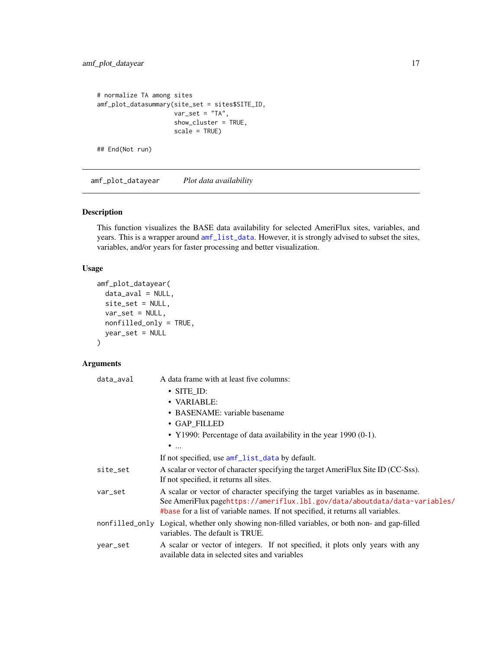```
# normalize TA among sites
amf_plot_datasummary(site_set = sites$SITE_ID,
                    var_set = "TA",show_cluster = TRUE,
                    scale = TRUE)
## End(Not run)
```
amf\_plot\_datayear *Plot data availability*

#### Description

This function visualizes the BASE data availability for selected AmeriFlux sites, variables, and years. This is a wrapper around [amf\\_list\\_data](#page-11-1). However, it is strongly advised to subset the sites, variables, and/or years for faster processing and better visualization.

#### Usage

```
amf_plot_datayear(
 data_aval = NULL,
 site_set = NULL,
 var_set = NULL,nonfilled_only = TRUE,
 year_set = NULL
)
```
#### Arguments

| data_aval | A data frame with at least five columns:                                                                                                                                                                                                         |  |
|-----------|--------------------------------------------------------------------------------------------------------------------------------------------------------------------------------------------------------------------------------------------------|--|
|           | $\cdot$ SITE_ID:                                                                                                                                                                                                                                 |  |
|           | • VARIABLE:                                                                                                                                                                                                                                      |  |
|           | • BASENAME: variable basename                                                                                                                                                                                                                    |  |
|           | · GAP_FILLED                                                                                                                                                                                                                                     |  |
|           | • Y1990: Percentage of data availability in the year 1990 $(0-1)$ .                                                                                                                                                                              |  |
|           | $\bullet$                                                                                                                                                                                                                                        |  |
|           | If not specified, use amf_list_data by default.                                                                                                                                                                                                  |  |
| site_set  | A scalar or vector of character specifying the target AmeriFlux Site ID (CC-Sss).<br>If not specified, it returns all sites.                                                                                                                     |  |
| var_set   | A scalar or vector of character specifying the target variables as in basename.<br>See AmeriFlux pagehttps://ameriflux.lbl.gov/data/aboutdata/data-variables/<br>#base for a list of variable names. If not specified, it returns all variables. |  |
|           | nonfilled_only Logical, whether only showing non-filled variables, or both non- and gap-filled<br>variables. The default is TRUE.                                                                                                                |  |
| year_set  | A scalar or vector of integers. If not specified, it plots only years with any<br>available data in selected sites and variables                                                                                                                 |  |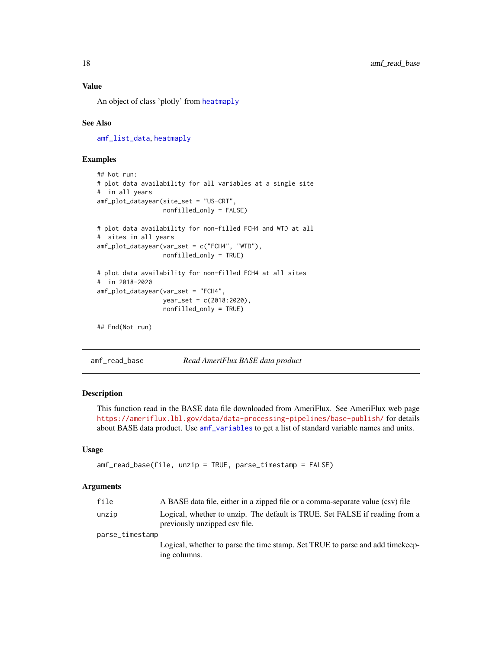#### <span id="page-17-0"></span>Value

An object of class 'plotly' from [heatmaply](#page-0-0)

#### See Also

[amf\\_list\\_data](#page-11-1), [heatmaply](#page-0-0)

#### Examples

```
## Not run:
# plot data availability for all variables at a single site
# in all years
amf_plot_datayear(site_set = "US-CRT",
                 nonfilled_only = FALSE)
# plot data availability for non-filled FCH4 and WTD at all
# sites in all years
amf_plot_datayear(var_set = c("FCH4", "WTD"),
                  nonfilled_only = TRUE)
# plot data availability for non-filled FCH4 at all sites
# in 2018-2020
amf_plot_datayear(var_set = "FCH4",
                 year_set = c(2018:2020),
                  nonfilled_only = TRUE)
## End(Not run)
```
<span id="page-17-1"></span>amf\_read\_base *Read AmeriFlux BASE data product*

#### **Description**

This function read in the BASE data file downloaded from AmeriFlux. See AmeriFlux web page <https://ameriflux.lbl.gov/data/data-processing-pipelines/base-publish/> for details about BASE data product. Use [amf\\_variables](#page-22-1) to get a list of standard variable names and units.

#### Usage

```
amf_read_base(file, unzip = TRUE, parse_timestamp = FALSE)
```
#### Arguments

| file            | A BASE data file, either in a zipped file or a comma-separate value (csv) file                               |
|-----------------|--------------------------------------------------------------------------------------------------------------|
| unzip           | Logical, whether to unzip. The default is TRUE. Set FALSE if reading from a<br>previously unzipped csy file. |
| parse_timestamp |                                                                                                              |
|                 | Logical, whether to parse the time stamp. Set TRUE to parse and add time keep-<br>ing columns.               |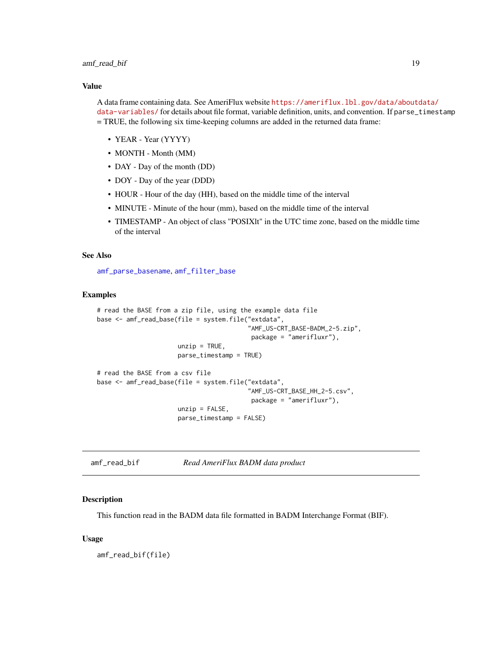#### <span id="page-18-0"></span>amf\_read\_bif 19

#### Value

A data frame containing data. See AmeriFlux website [https://ameriflux.lbl.gov/data/aboutd](https://ameriflux.lbl.gov/data/aboutdata/data-variables/)ata/ [data-variables/](https://ameriflux.lbl.gov/data/aboutdata/data-variables/) for details about file format, variable definition, units, and convention. If parse\_timestamp = TRUE, the following six time-keeping columns are added in the returned data frame:

- YEAR Year (YYYY)
- MONTH Month (MM)
- DAY Day of the month (DD)
- DOY Day of the year (DDD)
- HOUR Hour of the day (HH), based on the middle time of the interval
- MINUTE Minute of the hour (mm), based on the middle time of the interval
- TIMESTAMP An object of class "POSIXlt" in the UTC time zone, based on the middle time of the interval

#### See Also

[amf\\_parse\\_basename](#page-13-1), [amf\\_filter\\_base](#page-9-1)

#### Examples

```
# read the BASE from a zip file, using the example data file
base <- amf_read_base(file = system.file("extdata",
                                         "AMF_US-CRT_BASE-BADM_2-5.zip",
                                          package = "amerifluxr"),
                      unzip = TRUE,parse_timestamp = TRUE)
# read the BASE from a csv file
base <- amf_read_base(file = system.file("extdata",
                                         "AMF_US-CRT_BASE_HH_2-5.csv",
                                          package = "amerifluxr"),
                      unzip = FALSE,parse_timestamp = FALSE)
```
<span id="page-18-1"></span>amf\_read\_bif *Read AmeriFlux BADM data product*

#### Description

This function read in the BADM data file formatted in BADM Interchange Format (BIF).

#### Usage

amf\_read\_bif(file)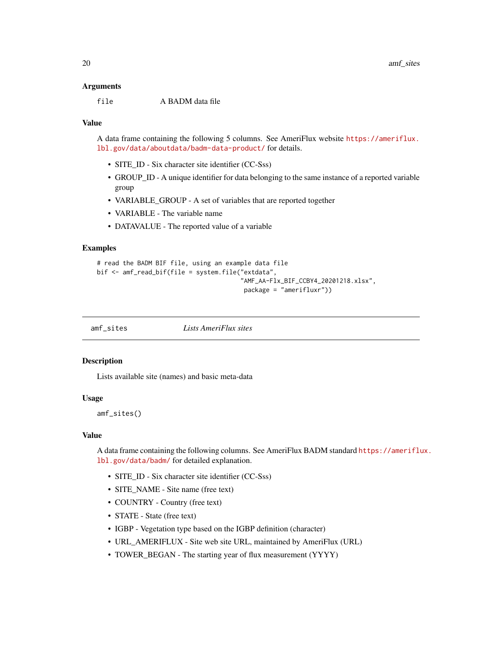#### <span id="page-19-0"></span>Arguments

file A BADM data file

#### Value

A data frame containing the following 5 columns. See AmeriFlux website [https://ameriflux.](https://ameriflux.lbl.gov/data/aboutdata/badm-data-product/) [lbl.gov/data/aboutdata/badm-data-product/](https://ameriflux.lbl.gov/data/aboutdata/badm-data-product/) for details.

- SITE ID Six character site identifier (CC-Sss)
- GROUP ID A unique identifier for data belonging to the same instance of a reported variable group
- VARIABLE\_GROUP A set of variables that are reported together
- VARIABLE The variable name
- DATAVALUE The reported value of a variable

#### Examples

```
# read the BADM BIF file, using an example data file
bif <- amf_read_bif(file = system.file("extdata",
                                        "AMF_AA-Flx_BIF_CCBY4_20201218.xlsx",
                                        package = "amerifluxr"))
```
amf\_sites *Lists AmeriFlux sites*

#### **Description**

Lists available site (names) and basic meta-data

#### Usage

amf\_sites()

#### Value

A data frame containing the following columns. See AmeriFlux BADM standard [https://ameriflu](https://ameriflux.lbl.gov/data/badm/)x. [lbl.gov/data/badm/](https://ameriflux.lbl.gov/data/badm/) for detailed explanation.

- SITE\_ID Six character site identifier (CC-Sss)
- SITE\_NAME Site name (free text)
- COUNTRY Country (free text)
- STATE State (free text)
- IGBP Vegetation type based on the IGBP definition (character)
- URL\_AMERIFLUX Site web site URL, maintained by AmeriFlux (URL)
- TOWER\_BEGAN The starting year of flux measurement (YYYY)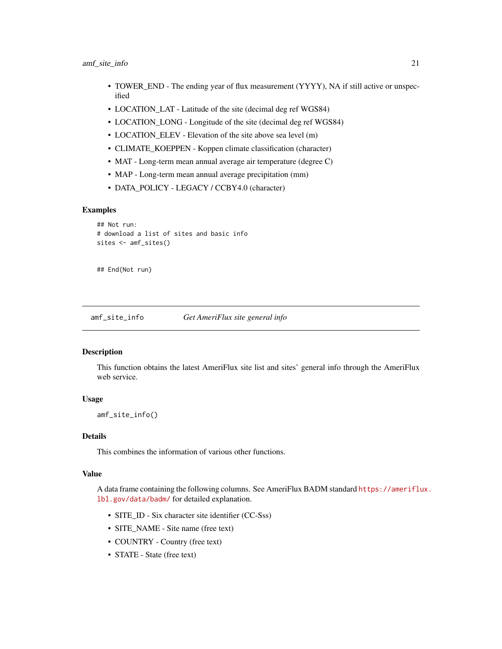- <span id="page-20-0"></span>• TOWER\_END - The ending year of flux measurement (YYYY), NA if still active or unspecified
- LOCATION\_LAT Latitude of the site (decimal deg ref WGS84)
- LOCATION\_LONG Longitude of the site (decimal deg ref WGS84)
- LOCATION\_ELEV Elevation of the site above sea level (m)
- CLIMATE\_KOEPPEN Koppen climate classification (character)
- MAT Long-term mean annual average air temperature (degree C)
- MAP Long-term mean annual average precipitation (mm)
- DATA\_POLICY LEGACY / CCBY4.0 (character)

#### Examples

```
## Not run:
# download a list of sites and basic info
sites <- amf_sites()
```
## End(Not run)

amf\_site\_info *Get AmeriFlux site general info*

#### Description

This function obtains the latest AmeriFlux site list and sites' general info through the AmeriFlux web service.

#### Usage

amf\_site\_info()

#### Details

This combines the information of various other functions.

#### Value

A data frame containing the following columns. See AmeriFlux BADM standard [https://ameriflu](https://ameriflux.lbl.gov/data/badm/)x. [lbl.gov/data/badm/](https://ameriflux.lbl.gov/data/badm/) for detailed explanation.

- SITE\_ID Six character site identifier (CC-Sss)
- SITE\_NAME Site name (free text)
- COUNTRY Country (free text)
- STATE State (free text)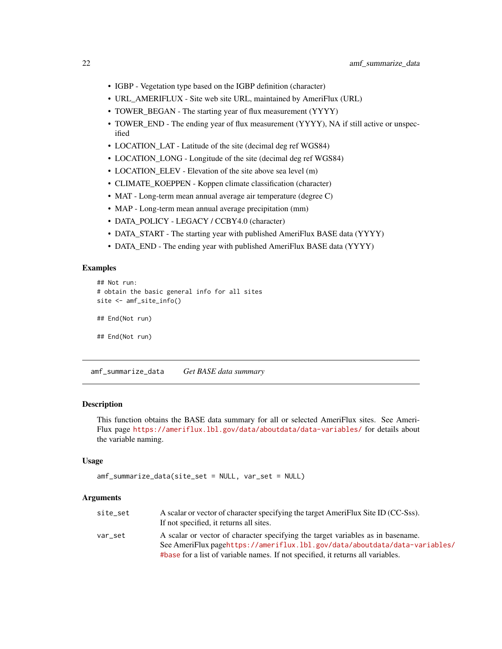- <span id="page-21-0"></span>• IGBP - Vegetation type based on the IGBP definition (character)
- URL\_AMERIFLUX Site web site URL, maintained by AmeriFlux (URL)
- TOWER\_BEGAN The starting year of flux measurement (YYYY)
- TOWER\_END The ending year of flux measurement (YYYY), NA if still active or unspecified
- LOCATION\_LAT Latitude of the site (decimal deg ref WGS84)
- LOCATION\_LONG Longitude of the site (decimal deg ref WGS84)
- LOCATION\_ELEV Elevation of the site above sea level (m)
- CLIMATE\_KOEPPEN Koppen climate classification (character)
- MAT Long-term mean annual average air temperature (degree C)
- MAP Long-term mean annual average precipitation (mm)
- DATA\_POLICY LEGACY / CCBY4.0 (character)
- DATA\_START The starting year with published AmeriFlux BASE data (YYYY)
- DATA\_END The ending year with published AmeriFlux BASE data (YYYY)

#### Examples

```
## Not run:
# obtain the basic general info for all sites
site <- amf_site_info()
## End(Not run)
## End(Not run)
```
<span id="page-21-1"></span>amf\_summarize\_data *Get BASE data summary*

#### Description

This function obtains the BASE data summary for all or selected AmeriFlux sites. See Ameri-Flux page <https://ameriflux.lbl.gov/data/aboutdata/data-variables/> for details about the variable naming.

#### Usage

```
amf_summarize_data(site_set = NULL, var_set = NULL)
```
#### Arguments

| site_set | A scalar or vector of character specifying the target AmeriFlux Site ID (CC-Sss). |
|----------|-----------------------------------------------------------------------------------|
|          | If not specified, it returns all sites.                                           |
| var set  | A scalar or vector of character specifying the target variables as in basename.   |
|          | See AmeriFlux pagehttps://ameriflux.lbl.gov/data/aboutdata/data-variables/        |
|          | #base for a list of variable names. If not specified, it returns all variables.   |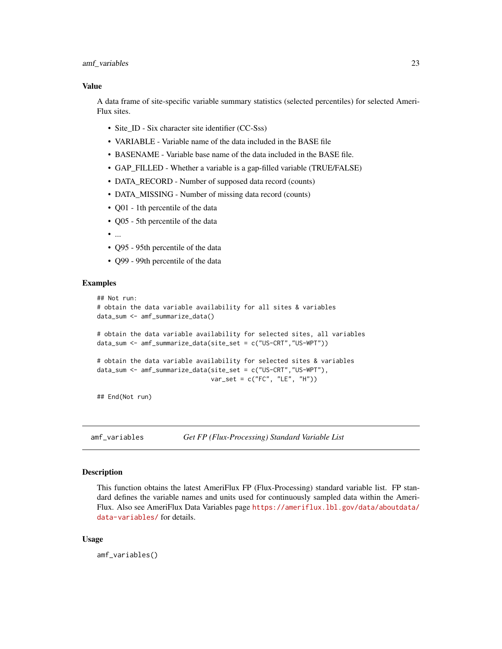#### <span id="page-22-0"></span>amf\_variables 23

#### Value

A data frame of site-specific variable summary statistics (selected percentiles) for selected Ameri-Flux sites.

- Site ID Six character site identifier (CC-Sss)
- VARIABLE Variable name of the data included in the BASE file
- BASENAME Variable base name of the data included in the BASE file.
- GAP\_FILLED Whether a variable is a gap-filled variable (TRUE/FALSE)
- DATA\_RECORD Number of supposed data record (counts)
- DATA\_MISSING Number of missing data record (counts)
- Q01 1th percentile of the data
- Q05 5th percentile of the data
- $\bullet$  ...
- Q95 95th percentile of the data
- Q99 99th percentile of the data

#### Examples

```
## Not run:
# obtain the data variable availability for all sites & variables
data_sum <- amf_summarize_data()
# obtain the data variable availability for selected sites, all variables
data_sum <- amf_summarize_data(site_set = c("US-CRT","US-WPT"))
# obtain the data variable availability for selected sites & variables
data_sum <- amf_summarize_data(site_set = c("US-CRT","US-WPT"),
                               var_set = c("FC", "LE", "H")
```
## End(Not run)

<span id="page-22-1"></span>amf\_variables *Get FP (Flux-Processing) Standard Variable List*

#### Description

This function obtains the latest AmeriFlux FP (Flux-Processing) standard variable list. FP standard defines the variable names and units used for continuously sampled data within the Ameri-Flux. Also see AmeriFlux Data Variables page [https://ameriflux.lbl.gov/data/aboutdata/](https://ameriflux.lbl.gov/data/aboutdata/data-variables/) [data-variables/](https://ameriflux.lbl.gov/data/aboutdata/data-variables/) for details.

#### Usage

amf\_variables()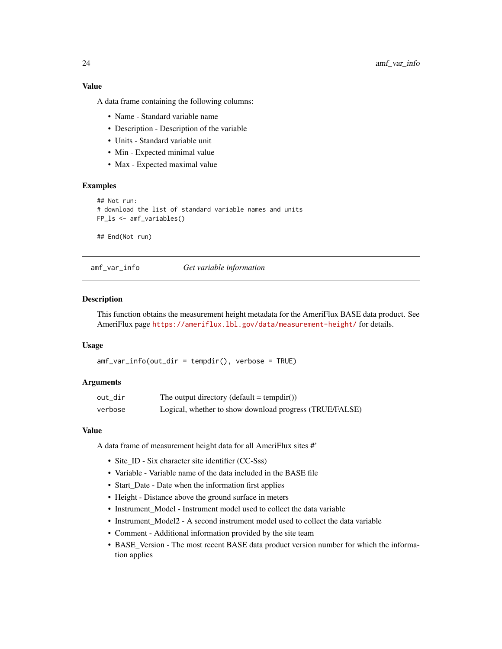<span id="page-23-0"></span>A data frame containing the following columns:

- Name Standard variable name
- Description Description of the variable
- Units Standard variable unit
- Min Expected minimal value
- Max Expected maximal value

#### Examples

```
## Not run:
# download the list of standard variable names and units
FP_ls <- amf_variables()
```
## End(Not run)

amf\_var\_info *Get variable information*

#### Description

This function obtains the measurement height metadata for the AmeriFlux BASE data product. See AmeriFlux page <https://ameriflux.lbl.gov/data/measurement-height/> for details.

#### Usage

 $amf_var_info(out\_dir = tempdir(), verbose = TRUE)$ 

#### Arguments

| out_dir | The output directory (default = tempdir())              |
|---------|---------------------------------------------------------|
| verbose | Logical, whether to show download progress (TRUE/FALSE) |

#### Value

A data frame of measurement height data for all AmeriFlux sites #'

- Site\_ID Six character site identifier (CC-Sss)
- Variable Variable name of the data included in the BASE file
- Start\_Date Date when the information first applies
- Height Distance above the ground surface in meters
- Instrument\_Model Instrument model used to collect the data variable
- Instrument Model2 A second instrument model used to collect the data variable
- Comment Additional information provided by the site team
- BASE\_Version The most recent BASE data product version number for which the information applies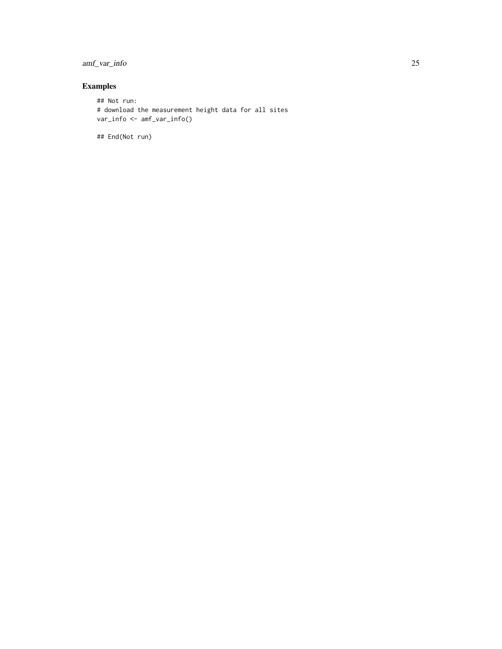#### amf\_var\_info 25

### Examples

```
## Not run:
# download the measurement height data for all sites
var_info <- amf_var_info()
```
## End(Not run)